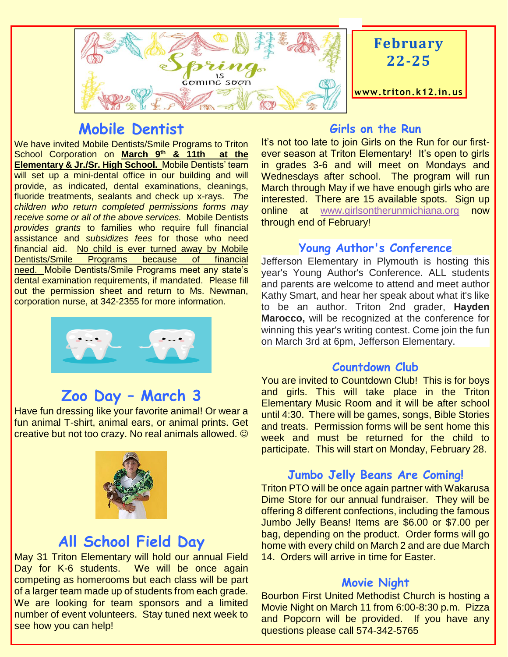

## **Mobile Dentist**

We have invited Mobile Dentists/Smile Programs to Triton School Corporation on **March 9th & 11th at the Elementary & Jr./Sr. High School.** Mobile Dentists' team will set up a mini-dental office in our building and will provide, as indicated, dental examinations, cleanings, fluoride treatments, sealants and check up x-rays. *The children who return completed permissions forms may receive some or all of the above services.* Mobile Dentists *provides grants* to families who require full financial assistance and *subsidizes fees* for those who need financial aid. No child is ever turned away by Mobile Dentists/Smile Programs because of financial need. Mobile Dentists/Smile Programs meet any state's dental examination requirements, if mandated. Please fill out the permission sheet and return to Ms. Newman, corporation nurse, at 342-2355 for more information.

## **Zoo Day – March 3**

Have fun dressing like your favorite animal! Or wear a fun animal T-shirt, animal ears, or animal prints. Get creative but not too crazy. No real animals allowed. ©



## **All School Field Day**

May 31 Triton Elementary will hold our annual Field Day for K-6 students. We will be once again competing as homerooms but each class will be part of a larger team made up of students from each grade. We are looking for team sponsors and a limited number of event volunteers. Stay tuned next week to see how you can help!

#### **Girls on the Run**

It's not too late to join Girls on the Run for our firstever season at Triton Elementary! It's open to girls in grades 3-6 and will meet on Mondays and Wednesdays after school. The program will run March through May if we have enough girls who are interested. There are 15 available spots. Sign up online at [www.girlsontherunmichiana.org](http://www.girlsontherunmichiana.org/) now through end of February!

#### **Young Author's Conference**

Jefferson Elementary in Plymouth is hosting this year's Young Author's Conference. ALL students and parents are welcome to attend and meet author Kathy Smart, and hear her speak about what it's like to be an author. Triton 2nd grader, **Hayden Marocco,** will be recognized at the conference for winning this year's writing contest. Come join the fun on March 3rd at 6pm, Jefferson Elementary.

#### **Countdown Club**

You are invited to Countdown Club! This is for boys and girls. This will take place in the Triton Elementary Music Room and it will be after school until 4:30. There will be games, songs, Bible Stories and treats. Permission forms will be sent home this week and must be returned for the child to participate. This will start on Monday, February 28.

#### **Jumbo Jelly Beans Are Coming!**

Triton PTO will be once again partner with Wakarusa Dime Store for our annual fundraiser. They will be offering 8 different confections, including the famous Jumbo Jelly Beans! Items are \$6.00 or \$7.00 per bag, depending on the product. Order forms will go home with every child on March 2 and are due March 14. Orders will arrive in time for Easter.

#### **Movie Night**

Bourbon First United Methodist Church is hosting a Movie Night on March 11 from 6:00-8:30 p.m. Pizza and Popcorn will be provided. If you have any questions please call 574-342-5765